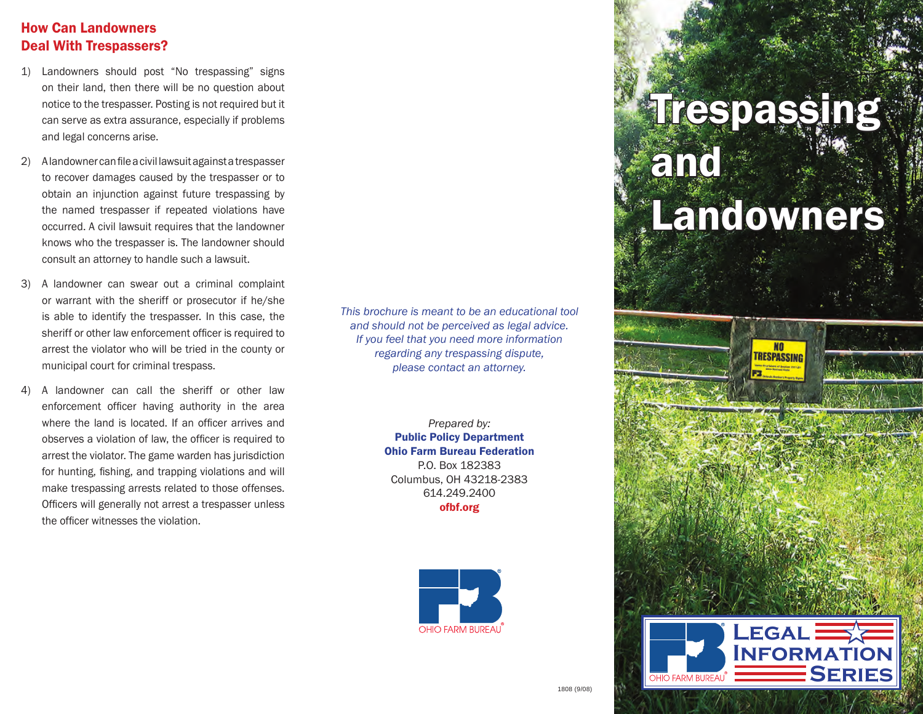#### How Can Landowners Deal With Trespassers?

- 1) Landowners should post "No trespassing" signs on their land, then there will be no question about notice to the trespasser. Posting is not required but it can serve as extra assurance, especially if problems and legal concerns arise.
- 2) Alandowner can file a civil lawsuit against a trespasser to recover damages caused by the trespasser or to obtain an injunction against future trespassing by the named trespasser if repeated violations have occurred. A civil lawsuit requires that the landowner knows who the trespasser is. The landowner should consult an attorney to handle such a lawsuit.
- 3) A landowner can swear out a criminal complaint or warrant with the sheriff or prosecutor if he/she is able to identify the trespasser. In this case, the sheriff or other law enforcement officer is required to arrest the violator who will be tried in the county or municipal court for criminal trespass.
- 4) A landowner can call the sheriff or other law enforcement officer having authority in the area where the land is located. If an officer arrives and observes a violation of law, the officer is required to arrest the violator. The game warden has jurisdiction for hunting, fishing, and trapping violations and will make trespassing arrests related to those offenses. Officers will generally not arrest a trespasser unless the officer witnesses the violation.

*This brochure is meant to be an educational tool and should not be perceived as legal advice. If you feel that you need more information regarding any trespassing dispute, please contact an attorney.*

> *Prepared by:* Public Policy Department Ohio Farm Bureau Federation P.O. Box 182383 Columbus, OH 43218-2383 614.249.2400 ofbf.org



# Trespassing and Landowners

**NO** *TRESPASSING* 

**Legal** 

OHIO FARM BUREAU<sup>`</sup>

**Information** 

**Series**

交